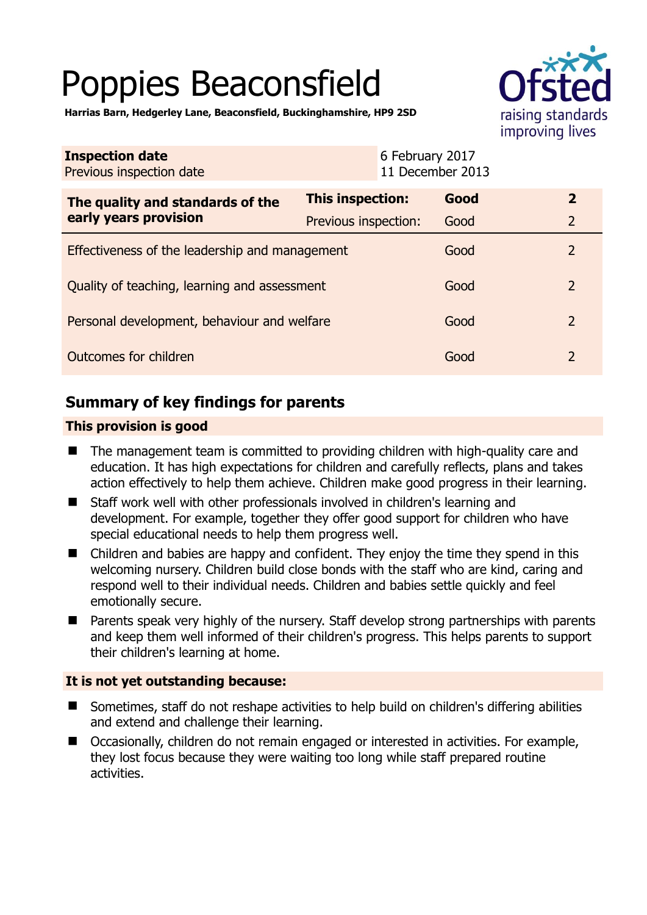# Poppies Beaconsfield



**Harrias Barn, Hedgerley Lane, Beaconsfield, Buckinghamshire, HP9 2SD** 

| <b>Inspection date</b><br>Previous inspection date        | 6 February 2017<br>11 December 2013 |      |                |
|-----------------------------------------------------------|-------------------------------------|------|----------------|
| The quality and standards of the<br>early years provision | <b>This inspection:</b>             | Good | $\mathbf{2}$   |
|                                                           | Previous inspection:                | Good | $\overline{2}$ |
| Effectiveness of the leadership and management            |                                     | Good | $\overline{2}$ |
| Quality of teaching, learning and assessment              |                                     | Good | $\overline{2}$ |
| Personal development, behaviour and welfare               |                                     | Good | $\overline{2}$ |
| Outcomes for children                                     |                                     | Good | $\overline{2}$ |

# **Summary of key findings for parents**

## **This provision is good**

- The management team is committed to providing children with high-quality care and education. It has high expectations for children and carefully reflects, plans and takes action effectively to help them achieve. Children make good progress in their learning.
- Staff work well with other professionals involved in children's learning and development. For example, together they offer good support for children who have special educational needs to help them progress well.
- Children and babies are happy and confident. They enjoy the time they spend in this welcoming nursery. Children build close bonds with the staff who are kind, caring and respond well to their individual needs. Children and babies settle quickly and feel emotionally secure.
- Parents speak very highly of the nursery. Staff develop strong partnerships with parents and keep them well informed of their children's progress. This helps parents to support their children's learning at home.

#### **It is not yet outstanding because:**

- Sometimes, staff do not reshape activities to help build on children's differing abilities and extend and challenge their learning.
- Occasionally, children do not remain engaged or interested in activities. For example, they lost focus because they were waiting too long while staff prepared routine activities.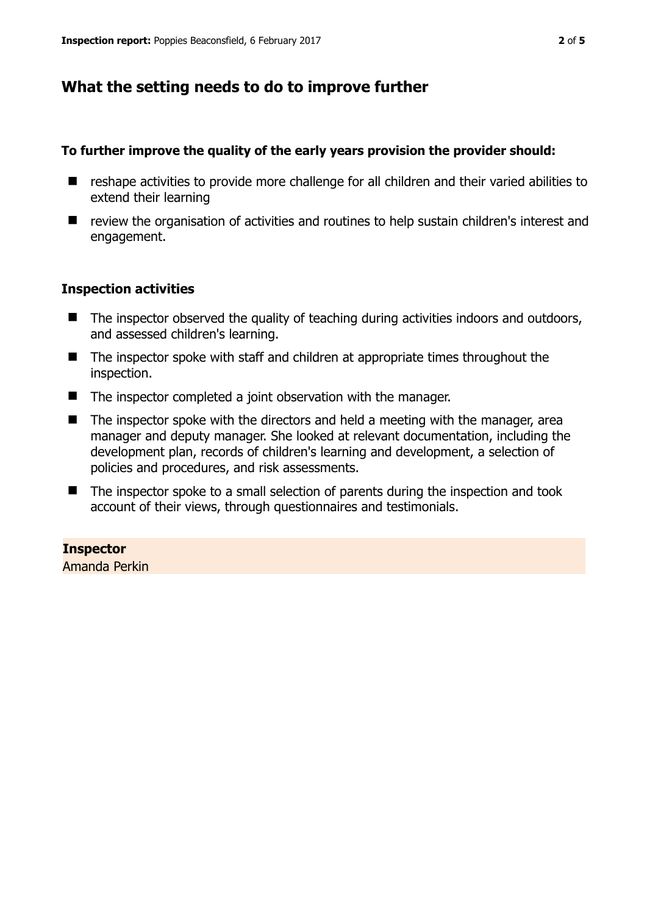# **What the setting needs to do to improve further**

### **To further improve the quality of the early years provision the provider should:**

- reshape activities to provide more challenge for all children and their varied abilities to extend their learning
- review the organisation of activities and routines to help sustain children's interest and engagement.

## **Inspection activities**

- The inspector observed the quality of teaching during activities indoors and outdoors, and assessed children's learning.
- The inspector spoke with staff and children at appropriate times throughout the inspection.
- The inspector completed a joint observation with the manager.
- The inspector spoke with the directors and held a meeting with the manager, area manager and deputy manager. She looked at relevant documentation, including the development plan, records of children's learning and development, a selection of policies and procedures, and risk assessments.
- The inspector spoke to a small selection of parents during the inspection and took account of their views, through questionnaires and testimonials.

## **Inspector**

Amanda Perkin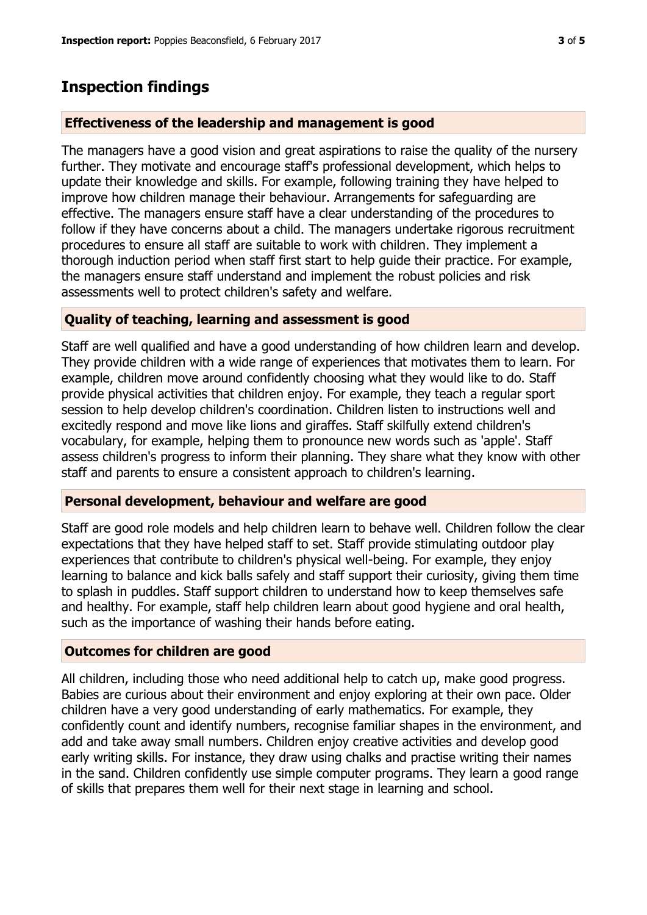## **Inspection findings**

#### **Effectiveness of the leadership and management is good**

The managers have a good vision and great aspirations to raise the quality of the nursery further. They motivate and encourage staff's professional development, which helps to update their knowledge and skills. For example, following training they have helped to improve how children manage their behaviour. Arrangements for safeguarding are effective. The managers ensure staff have a clear understanding of the procedures to follow if they have concerns about a child. The managers undertake rigorous recruitment procedures to ensure all staff are suitable to work with children. They implement a thorough induction period when staff first start to help guide their practice. For example, the managers ensure staff understand and implement the robust policies and risk assessments well to protect children's safety and welfare.

#### **Quality of teaching, learning and assessment is good**

Staff are well qualified and have a good understanding of how children learn and develop. They provide children with a wide range of experiences that motivates them to learn. For example, children move around confidently choosing what they would like to do. Staff provide physical activities that children enjoy. For example, they teach a regular sport session to help develop children's coordination. Children listen to instructions well and excitedly respond and move like lions and giraffes. Staff skilfully extend children's vocabulary, for example, helping them to pronounce new words such as 'apple'. Staff assess children's progress to inform their planning. They share what they know with other staff and parents to ensure a consistent approach to children's learning.

#### **Personal development, behaviour and welfare are good**

Staff are good role models and help children learn to behave well. Children follow the clear expectations that they have helped staff to set. Staff provide stimulating outdoor play experiences that contribute to children's physical well-being. For example, they enjoy learning to balance and kick balls safely and staff support their curiosity, giving them time to splash in puddles. Staff support children to understand how to keep themselves safe and healthy. For example, staff help children learn about good hygiene and oral health, such as the importance of washing their hands before eating.

#### **Outcomes for children are good**

All children, including those who need additional help to catch up, make good progress. Babies are curious about their environment and enjoy exploring at their own pace. Older children have a very good understanding of early mathematics. For example, they confidently count and identify numbers, recognise familiar shapes in the environment, and add and take away small numbers. Children enjoy creative activities and develop good early writing skills. For instance, they draw using chalks and practise writing their names in the sand. Children confidently use simple computer programs. They learn a good range of skills that prepares them well for their next stage in learning and school.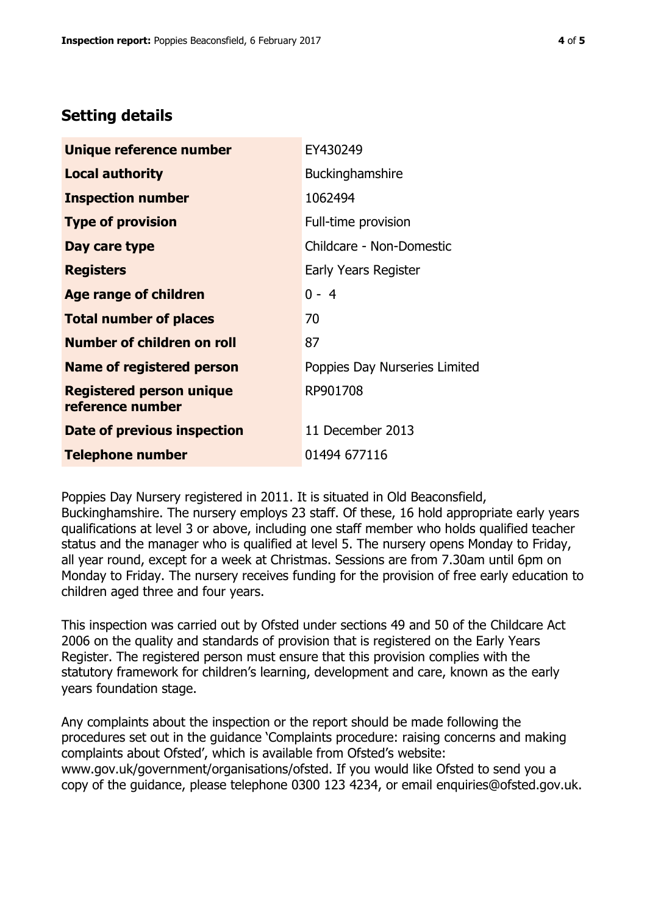# **Setting details**

| Unique reference number                             | EY430249                      |
|-----------------------------------------------------|-------------------------------|
| <b>Local authority</b>                              | Buckinghamshire               |
| <b>Inspection number</b>                            | 1062494                       |
| <b>Type of provision</b>                            | Full-time provision           |
| Day care type                                       | Childcare - Non-Domestic      |
| <b>Registers</b>                                    | Early Years Register          |
| <b>Age range of children</b>                        | $0 - 4$                       |
| <b>Total number of places</b>                       | 70                            |
| Number of children on roll                          | 87                            |
| Name of registered person                           | Poppies Day Nurseries Limited |
| <b>Registered person unique</b><br>reference number | RP901708                      |
| Date of previous inspection                         | 11 December 2013              |
| <b>Telephone number</b>                             | 01494 677116                  |

Poppies Day Nursery registered in 2011. It is situated in Old Beaconsfield, Buckinghamshire. The nursery employs 23 staff. Of these, 16 hold appropriate early years qualifications at level 3 or above, including one staff member who holds qualified teacher status and the manager who is qualified at level 5. The nursery opens Monday to Friday, all year round, except for a week at Christmas. Sessions are from 7.30am until 6pm on Monday to Friday. The nursery receives funding for the provision of free early education to children aged three and four years.

This inspection was carried out by Ofsted under sections 49 and 50 of the Childcare Act 2006 on the quality and standards of provision that is registered on the Early Years Register. The registered person must ensure that this provision complies with the statutory framework for children's learning, development and care, known as the early years foundation stage.

Any complaints about the inspection or the report should be made following the procedures set out in the guidance 'Complaints procedure: raising concerns and making complaints about Ofsted', which is available from Ofsted's website: www.gov.uk/government/organisations/ofsted. If you would like Ofsted to send you a copy of the guidance, please telephone 0300 123 4234, or email enquiries@ofsted.gov.uk.